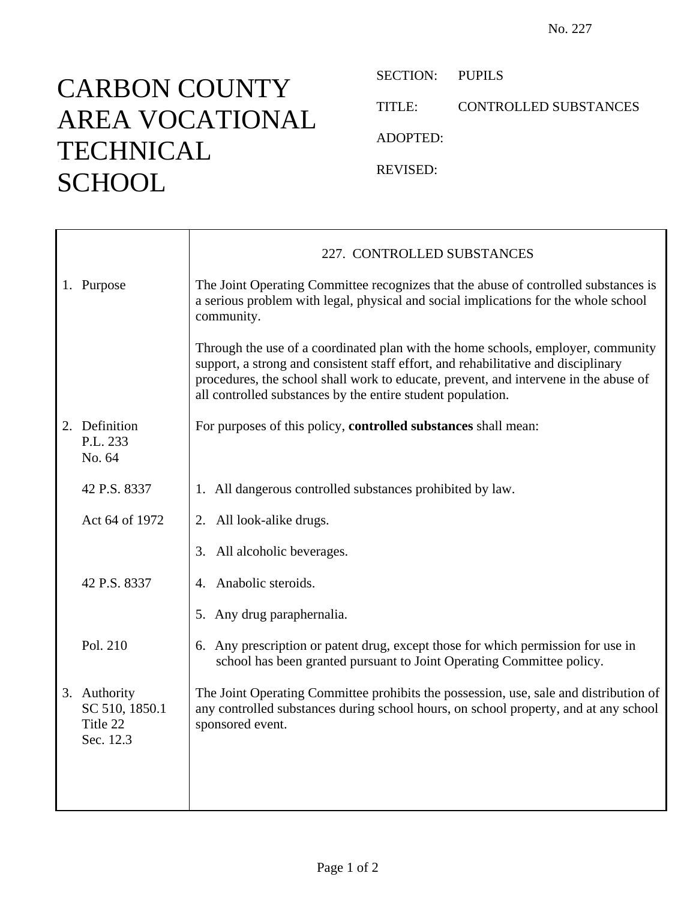## CARBON COUNTY AREA VOCATIONAL **TECHNICAL SCHOOL**

SECTION: PUPILS TITLE: CONTROLLED SUBSTANCES ADOPTED: REVISED:

|                                                         | 227. CONTROLLED SUBSTANCES                                                                                                                                                                                                                                                                                                    |
|---------------------------------------------------------|-------------------------------------------------------------------------------------------------------------------------------------------------------------------------------------------------------------------------------------------------------------------------------------------------------------------------------|
| 1. Purpose                                              | The Joint Operating Committee recognizes that the abuse of controlled substances is<br>a serious problem with legal, physical and social implications for the whole school<br>community.                                                                                                                                      |
|                                                         | Through the use of a coordinated plan with the home schools, employer, community<br>support, a strong and consistent staff effort, and rehabilitative and disciplinary<br>procedures, the school shall work to educate, prevent, and intervene in the abuse of<br>all controlled substances by the entire student population. |
| 2. Definition<br>P.L. 233<br>No. 64                     | For purposes of this policy, controlled substances shall mean:                                                                                                                                                                                                                                                                |
| 42 P.S. 8337                                            | 1. All dangerous controlled substances prohibited by law.                                                                                                                                                                                                                                                                     |
| Act 64 of 1972                                          | 2. All look-alike drugs.                                                                                                                                                                                                                                                                                                      |
|                                                         | All alcoholic beverages.<br>3.                                                                                                                                                                                                                                                                                                |
| 42 P.S. 8337                                            | Anabolic steroids.<br>4.                                                                                                                                                                                                                                                                                                      |
|                                                         | 5. Any drug paraphernalia.                                                                                                                                                                                                                                                                                                    |
| Pol. 210                                                | 6. Any prescription or patent drug, except those for which permission for use in<br>school has been granted pursuant to Joint Operating Committee policy.                                                                                                                                                                     |
| 3. Authority<br>SC 510, 1850.1<br>Title 22<br>Sec. 12.3 | The Joint Operating Committee prohibits the possession, use, sale and distribution of<br>any controlled substances during school hours, on school property, and at any school<br>sponsored event.                                                                                                                             |
|                                                         |                                                                                                                                                                                                                                                                                                                               |